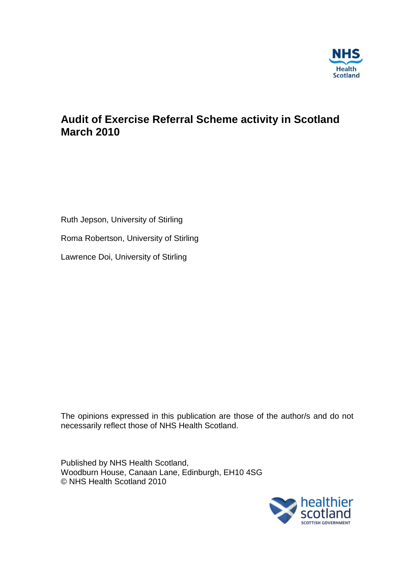

# **Audit of Exercise Referral Scheme activity in Scotland March 2010**

Ruth Jepson, University of Stirling

Roma Robertson, University of Stirling

Lawrence Doi, University of Stirling

The opinions expressed in this publication are those of the author/s and do not necessarily reflect those of NHS Health Scotland.

Published by NHS Health Scotland, Woodburn House, Canaan Lane, Edinburgh, EH10 4SG © NHS Health Scotland 2010

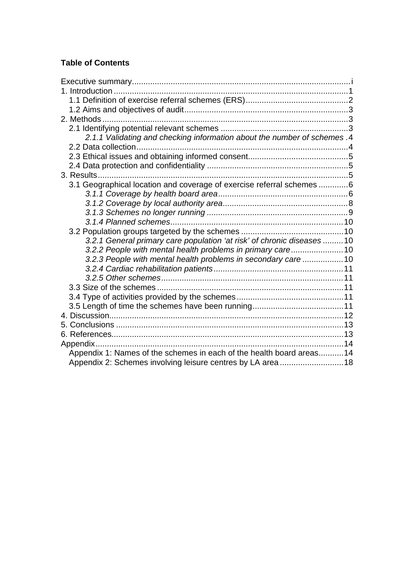## **Table of Contents**

| 2.1.1 Validating and checking information about the number of schemes .4 |  |
|--------------------------------------------------------------------------|--|
|                                                                          |  |
|                                                                          |  |
|                                                                          |  |
|                                                                          |  |
| 3.1 Geographical location and coverage of exercise referral schemes 6    |  |
|                                                                          |  |
|                                                                          |  |
|                                                                          |  |
|                                                                          |  |
|                                                                          |  |
| 3.2.1 General primary care population 'at risk' of chronic diseases 10   |  |
| 3.2.2 People with mental health problems in primary care10               |  |
| 3.2.3 People with mental health problems in secondary care 10            |  |
|                                                                          |  |
|                                                                          |  |
|                                                                          |  |
|                                                                          |  |
|                                                                          |  |
|                                                                          |  |
|                                                                          |  |
|                                                                          |  |
|                                                                          |  |
| Appendix 1: Names of the schemes in each of the health board areas14     |  |
| Appendix 2: Schemes involving leisure centres by LA area 18              |  |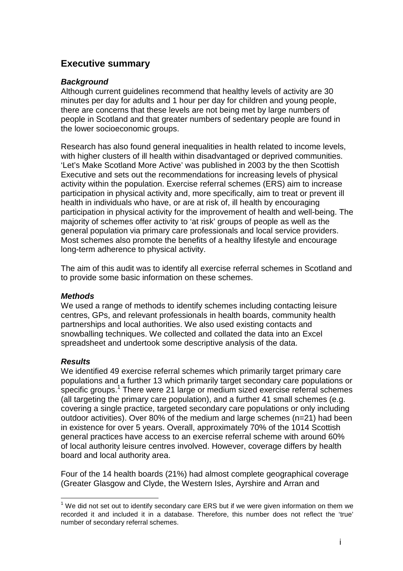## <span id="page-2-0"></span>**Executive summary**

#### *Background*

Although current guidelines recommend that healthy levels of activity are 30 minutes per day for adults and 1 hour per day for children and young people, there are concerns that these levels are not being met by large numbers of people in Scotland and that greater numbers of sedentary people are found in the lower socioeconomic groups.

Research has also found general inequalities in health related to income levels, with higher clusters of ill health within disadvantaged or deprived communities. 'Let's Make Scotland More Active' was published in 2003 by the then Scottish Executive and sets out the recommendations for increasing levels of physical activity within the population. Exercise referral schemes (ERS) aim to increase participation in physical activity and, more specifically, aim to treat or prevent ill health in individuals who have, or are at risk of, ill health by encouraging participation in physical activity for the improvement of health and well-being. The majority of schemes offer activity to 'at risk' groups of people as well as the general population via primary care professionals and local service providers. Most schemes also promote the benefits of a healthy lifestyle and encourage long-term adherence to physical activity.

The aim of this audit was to identify all exercise referral schemes in Scotland and to provide some basic information on these schemes.

#### *Methods*

We used a range of methods to identify schemes including contacting leisure centres, GPs, and relevant professionals in health boards, community health partnerships and local authorities. We also used existing contacts and snowballing techniques. We collected and collated the data into an Excel spreadsheet and undertook some descriptive analysis of the data.

#### *Results*

We identified 49 exercise referral schemes which primarily target primary care populations and a further 13 which primarily target secondary care populations or specific groups.<sup>[1](#page-2-1)</sup> There were 21 large or medium sized exercise referral schemes (all targeting the primary care population), and a further 41 small schemes (e.g. covering a single practice, targeted secondary care populations or only including outdoor activities). Over 80% of the medium and large schemes (n=21) had been in existence for over 5 years. Overall, approximately 70% of the 1014 Scottish general practices have access to an exercise referral scheme with around 60% of local authority leisure centres involved. However, coverage differs by health board and local authority area.

Four of the 14 health boards (21%) had almost complete geographical coverage (Greater Glasgow and Clyde, the Western Isles, Ayrshire and Arran and

<span id="page-2-1"></span>number of secondary referral schemes. recorded it and included it in a database. Therefore, this number does not reflect the 'true'  $1$  We did not set out to identify secondary care ERS but if we were given information on them we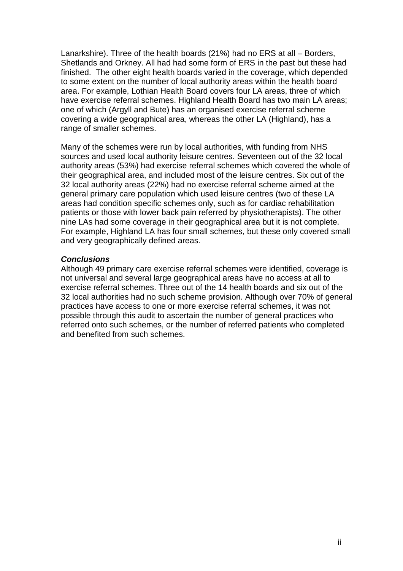Lanarkshire). Three of the health boards (21%) had no ERS at all – Borders, Shetlands and Orkney. All had had some form of ERS in the past but these had finished. The other eight health boards varied in the coverage, which depended to some extent on the number of local authority areas within the health board area. For example, Lothian Health Board covers four LA areas, three of which have exercise referral schemes. Highland Health Board has two main LA areas; one of which (Argyll and Bute) has an organised exercise referral scheme covering a wide geographical area, whereas the other LA (Highland), has a range of smaller schemes.

Many of the schemes were run by local authorities, with funding from NHS sources and used local authority leisure centres. Seventeen out of the 32 local authority areas (53%) had exercise referral schemes which covered the whole of their geographical area, and included most of the leisure centres. Six out of the 32 local authority areas (22%) had no exercise referral scheme aimed at the general primary care population which used leisure centres (two of these LA areas had condition specific schemes only, such as for cardiac rehabilitation patients or those with lower back pain referred by physiotherapists). The other nine LAs had some coverage in their geographical area but it is not complete. For example, Highland LA has four small schemes, but these only covered small and very geographically defined areas.

#### *Conclusions*

Although 49 primary care exercise referral schemes were identified, coverage is not universal and several large geographical areas have no access at all to exercise referral schemes. Three out of the 14 health boards and six out of the 32 local authorities had no such scheme provision. Although over 70% of general practices have access to one or more exercise referral schemes, it was not possible through this audit to ascertain the number of general practices who referred onto such schemes, or the number of referred patients who completed and benefited from such schemes.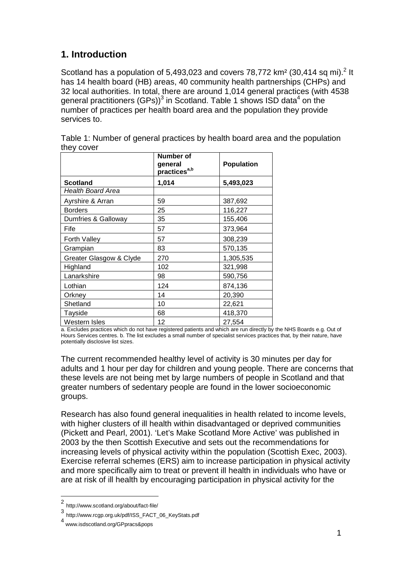## <span id="page-4-0"></span>**1. Introduction**

Scotland has a population of 5,493,0[2](#page-4-1)3 and covers 78,772  $km^2$  (30,414 sq mi).<sup>2</sup> It has 14 health board (HB) areas, 40 community health partnerships (CHPs) and 32 local authorities. In total, there are around 1,014 general practices (with 4538 general practitioners (GPs))<sup>[3](#page-4-2)</sup> in Scotland. Table 1 shows ISD data<sup>[4](#page-4-3)</sup> on the number of practices per health board area and the population they provide services to.

|                         | <b>Number of</b><br>general<br>practices <sup>a,b</sup> | <b>Population</b> |
|-------------------------|---------------------------------------------------------|-------------------|
| <b>Scotland</b>         | 1,014                                                   | 5,493,023         |
| Health Board Area       |                                                         |                   |
| Ayrshire & Arran        | 59                                                      | 387,692           |
| <b>Borders</b>          | 25                                                      | 116,227           |
| Dumfries & Galloway     | 35                                                      | 155,406           |
| Fife                    | 57                                                      | 373,964           |
| Forth Valley            | 57                                                      | 308,239           |
| Grampian                | 83                                                      | 570,135           |
| Greater Glasgow & Clyde | 270                                                     | 1,305,535         |
| Highland                | 102                                                     | 321,998           |
| Lanarkshire             | 98                                                      | 590,756           |
| Lothian                 | 124                                                     | 874,136           |
| Orkney                  | 14                                                      | 20,390            |
| Shetland                | 10                                                      | 22,621            |
| Tayside                 | 68                                                      | 418,370           |
| Western Isles           | 12                                                      | 27,554            |

Table 1: Number of general practices by health board area and the population they cover

a. Excludes practices which do not have registered patients and which are run directly by the NHS Boards e.g. Out of Hours Services centres. b. The list excludes a small number of specialist services practices that, by their nature, have potentially disclosive list sizes.

The current recommended healthy level of activity is 30 minutes per day for adults and 1 hour per day for children and young people. There are concerns that these levels are not being met by large numbers of people in Scotland and that greater numbers of sedentary people are found in the lower socioeconomic groups.

Research has also found general inequalities in health related to income levels, with higher clusters of ill health within disadvantaged or deprived communities (Pickett and Pearl, 2001). 'Let's Make Scotland More Active' was published in 2003 by the then Scottish Executive and sets out the recommendations for increasing levels of physical activity within the population (Scottish Exec, 2003). Exercise referral schemes (ERS) aim to increase participation in physical activity and more specifically aim to treat or prevent ill health in individuals who have or are at risk of ill health by encouraging participation in physical activity for the

<span id="page-4-1"></span>http://www.scotland.org/about/fact-file/ <sup>2</sup>

<span id="page-4-2"></span><sup>3&</sup>lt;br>http://www.rcgp.org.uk/pdf/ISS\_FACT\_06\_KeyStats.pdf

<span id="page-4-3"></span>www.isdscotland.org/GPpracs&pops <sup>4</sup>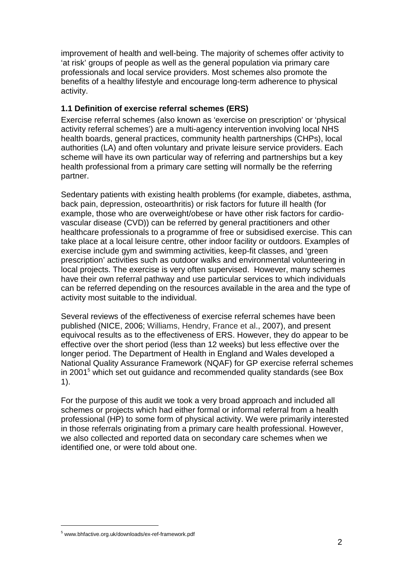improvement of health and well-being. The majority of schemes offer activity to 'at risk' groups of people as well as the general population via primary care professionals and local service providers. Most schemes also promote the benefits of a healthy lifestyle and encourage long-term adherence to physical activity.

## <span id="page-5-0"></span>**1.1 Definition of exercise referral schemes (ERS)**

Exercise referral schemes (also known as 'exercise on prescription' or 'physical activity referral schemes') are a multi-agency intervention involving local NHS health boards, general practices, community health partnerships (CHPs), local authorities (LA) and often voluntary and private leisure service providers. Each scheme will have its own particular way of referring and partnerships but a key health professional from a primary care setting will normally be the referring partner.

Sedentary patients with existing health problems (for example, diabetes, asthma, back pain, depression, osteoarthritis) or risk factors for future ill health (for example, those who are overweight/obese or have other risk factors for cardiovascular disease (CVD)) can be referred by general practitioners and other healthcare professionals to a programme of free or subsidised exercise. This can take place at a local leisure centre, other indoor facility or outdoors. Examples of exercise include gym and swimming activities, keep-fit classes, and 'green prescription' activities such as outdoor walks and environmental volunteering in local projects. The exercise is very often supervised. However, many schemes have their own referral pathway and use particular services to which individuals can be referred depending on the resources available in the area and the type of activity most suitable to the individual.

Several reviews of the effectiveness of exercise referral schemes have been published (NICE, 2006; Williams, Hendry, France et al., 2007), and present equivocal results as to the effectiveness of ERS. However, they do appear to be effective over the short period (less than 12 weeks) but less effective over the longer period. The Department of Health in England and Wales developed a National Quality Assurance Framework (NQAF) for GP exercise referral schemes in2001<sup>5</sup> which set out guidance and recommended quality standards (see Box 1).

For the purpose of this audit we took a very broad approach and included all schemes or projects which had either formal or informal referral from a health professional (HP) to some form of physical activity. We were primarily interested in those referrals originating from a primary care health professional. However, we also collected and reported data on secondary care schemes when we identified one, or were told about one.

<span id="page-5-1"></span>www.bhfactive.org.uk/downloads/ex-ref-framework.pdf <sup>5</sup>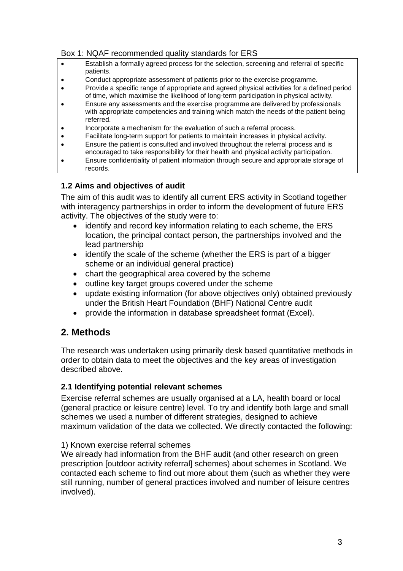#### Box 1: NQAF recommended quality standards for ERS

- Establish a formally agreed process for the selection, screening and referral of specific patients.
- Conduct appropriate assessment of patients prior to the exercise programme.
- Provide a specific range of appropriate and agreed physical activities for a defined period of time, which maximise the likelihood of long-term participation in physical activity.
- Ensure any assessments and the exercise programme are delivered by professionals with appropriate competencies and training which match the needs of the patient being referred.
- Incorporate a mechanism for the evaluation of such a referral process.
- Facilitate long-term support for patients to maintain increases in physical activity. Ensure the patient is consulted and involved throughout the referral process and is
- encouraged to take responsibility for their health and physical activity participation.
- Ensure confidentiality of patient information through secure and appropriate storage of records.

## <span id="page-6-0"></span>**1.2 Aims and objectives of audit**

The aim of this audit was to identify all current ERS activity in Scotland together with interagency partnerships in order to inform the development of future ERS activity. The objectives of the study were to:

- identify and record key information relating to each scheme, the ERS location, the principal contact person, the partnerships involved and the lead partnership
- identify the scale of the scheme (whether the ERS is part of a bigger scheme or an individual general practice)
- chart the geographical area covered by the scheme
- outline key target groups covered under the scheme
- update existing information (for above objectives only) obtained previously under the British Heart Foundation (BHF) National Centre audit
- provide the information in database spreadsheet format (Excel).

## <span id="page-6-1"></span>**2. Methods**

The research was undertaken using primarily desk based quantitative methods in order to obtain data to meet the objectives and the key areas of investigation described above.

## <span id="page-6-2"></span>**2.1 Identifying potential relevant schemes**

Exercise referral schemes are usually organised at a LA, health board or local (general practice or leisure centre) level. To try and identify both large and small schemes we used a number of different strategies, designed to achieve maximum validation of the data we collected. We directly contacted the following:

#### 1) Known exercise referral schemes

We already had information from the BHF audit (and other research on green prescription [outdoor activity referral] schemes) about schemes in Scotland. We contacted each scheme to find out more about them (such as whether they were still running, number of general practices involved and number of leisure centres involved).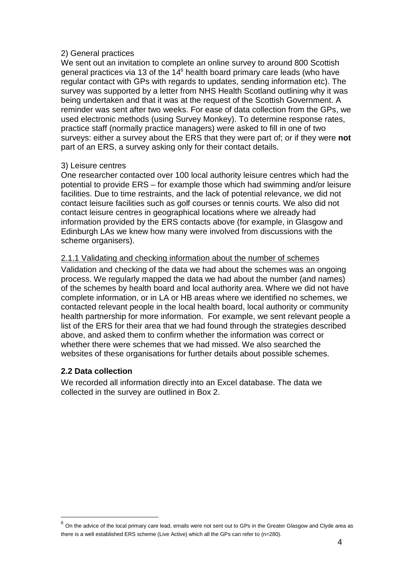#### 2) General practices

We sent out an invitation to complete an online survey to around 800 Scottish general practices via 13 of the 14<sup>[6](#page-7-2)</sup> health board primary care leads (who have regular contact with GPs with regards to updates, sending information etc). The survey was supported by a letter from NHS Health Scotland outlining why it was being undertaken and that it was at the request of the Scottish Government. A reminder was sent after two weeks. For ease of data collection from the GPs, we used electronic methods (using Survey Monkey). To determine response rates, practice staff (normally practice managers) were asked to fill in one of two surveys: either a survey about the ERS that they were part of; or if they were **not** part of an ERS, a survey asking only for their contact details.

#### 3) Leisure centres

One researcher contacted over 100 local authority leisure centres which had the potential to provide ERS – for example those which had swimming and/or leisure facilities. Due to time restraints, and the lack of potential relevance, we did not contact leisure facilities such as golf courses or tennis courts. We also did not contact leisure centres in geographical locations where we already had information provided by the ERS contacts above (for example, in Glasgow and Edinburgh LAs we knew how many were involved from discussions with the scheme organisers).

## <span id="page-7-0"></span>2.1.1 Validating and checking information about the number of schemes

Validation and checking of the data we had about the schemes was an ongoing process. We regularly mapped the data we had about the number (and names) of the schemes by health board and local authority area. Where we did not have complete information, or in LA or HB areas where we identified no schemes, we contacted relevant people in the local health board, local authority or community health partnership for more information. For example, we sent relevant people a list of the ERS for their area that we had found through the strategies described above, and asked them to confirm whether the information was correct or whether there were schemes that we had missed. We also searched the websites of these organisations for further details about possible schemes.

## <span id="page-7-1"></span>**2.2 Data collection**

We recorded all information directly into an Excel database. The data we collected in the survey are outlined in Box 2.

<span id="page-7-2"></span>there is a well established ERS scheme (Live Active) which all the GPs can refer to (n=280).  $6$  On the advice of the local primary care lead, emails were not sent out to GPs in the Greater Glasgow and Clyde area as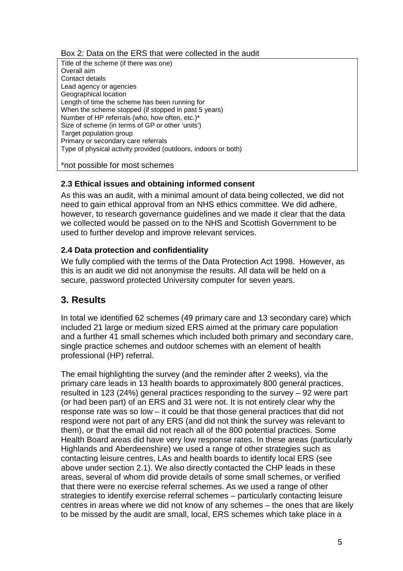#### Box 2: Data on the ERS that were collected in the audit

Title of the scheme (if there was one) Overall aim Contact details Lead agency or agencies Geographical location Length of time the scheme has been running for When the scheme stopped (if stopped in past 5 years) Number of HP referrals (who, how often, etc.)\* Size of scheme (in terms of GP or other 'units') Target population group Primary or secondary care referrals Type of physical activity provided (outdoors, indoors or both)

\*not possible for most schemes

## <span id="page-8-0"></span>**2.3 Ethical issues and obtaining informed consent**

As this was an audit, with a minimal amount of data being collected, we did not need to gain ethical approval from an NHS ethics committee. We did adhere, however, to research governance guidelines and we made it clear that the data we collected would be passed on to the NHS and Scottish Government to be used to further develop and improve relevant services.

## <span id="page-8-1"></span>**2.4 Data protection and confidentiality**

We fully complied with the terms of the Data Protection Act 1998. However, as this is an audit we did not anonymise the results. All data will be held on a secure, password protected University computer for seven years.

## <span id="page-8-2"></span>**3. Results**

In total we identified 62 schemes (49 primary care and 13 secondary care) which included 21 large or medium sized ERS aimed at the primary care population and a further 41 small schemes which included both primary and secondary care, single practice schemes and outdoor schemes with an element of health professional (HP) referral.

The email highlighting the survey (and the reminder after 2 weeks), via the primary care leads in 13 health boards to approximately 800 general practices, resulted in 123 (24%) general practices responding to the survey – 92 were part (or had been part) of an ERS and 31 were not. It is not entirely clear why the response rate was so low – it could be that those general practices that did not respond were not part of any ERS (and did not think the survey was relevant to them), or that the email did not reach all of the 800 potential practices. Some Health Board areas did have very low response rates. In these areas (particularly Highlands and Aberdeenshire) we used a range of other strategies such as contacting leisure centres, LAs and health boards to identify local ERS (see above under section 2.1). We also directly contacted the CHP leads in these areas, several of whom did provide details of some small schemes, or verified that there were no exercise referral schemes. As we used a range of other strategies to identify exercise referral schemes – particularly contacting leisure centres in areas where we did not know of any schemes – the ones that are likely to be missed by the audit are small, local, ERS schemes which take place in a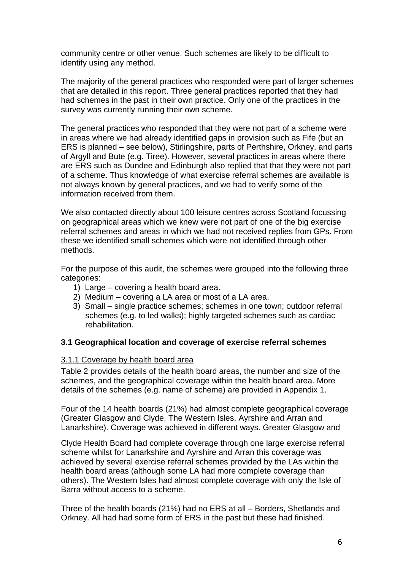community centre or other venue. Such schemes are likely to be difficult to identify using any method.

The majority of the general practices who responded were part of larger schemes that are detailed in this report. Three general practices reported that they had had schemes in the past in their own practice. Only one of the practices in the survey was currently running their own scheme.

The general practices who responded that they were not part of a scheme were in areas where we had already identified gaps in provision such as Fife (but an ERS is planned – see below), Stirlingshire, parts of Perthshire, Orkney, and parts of Argyll and Bute (e.g. Tiree). However, several practices in areas where there are ERS such as Dundee and Edinburgh also replied that that they were not part of a scheme. Thus knowledge of what exercise referral schemes are available is not always known by general practices, and we had to verify some of the information received from them.

We also contacted directly about 100 leisure centres across Scotland focussing on geographical areas which we knew were not part of one of the big exercise referral schemes and areas in which we had not received replies from GPs. From these we identified small schemes which were not identified through other methods.

For the purpose of this audit, the schemes were grouped into the following three categories:

- 1) Large covering a health board area.
- 2) Medium covering a LA area or most of a LA area.
- 3) Small single practice schemes; schemes in one town; outdoor referral schemes (e.g. to led walks); highly targeted schemes such as cardiac rehabilitation.

#### <span id="page-9-0"></span>**3.1 Geographical location and coverage of exercise referral schemes**

#### <span id="page-9-1"></span>3.1.1 Coverage by health board area

Table 2 provides details of the health board areas, the number and size of the schemes, and the geographical coverage within the health board area. More details of the schemes (e.g. name of scheme) are provided in Appendix 1.

Four of the 14 health boards (21%) had almost complete geographical coverage (Greater Glasgow and Clyde, The Western Isles, Ayrshire and Arran and Lanarkshire). Coverage was achieved in different ways. Greater Glasgow and

Clyde Health Board had complete coverage through one large exercise referral scheme whilst for Lanarkshire and Ayrshire and Arran this coverage was achieved by several exercise referral schemes provided by the LAs within the health board areas (although some LA had more complete coverage than others). The Western Isles had almost complete coverage with only the Isle of Barra without access to a scheme.

Three of the health boards (21%) had no ERS at all – Borders, Shetlands and Orkney. All had had some form of ERS in the past but these had finished.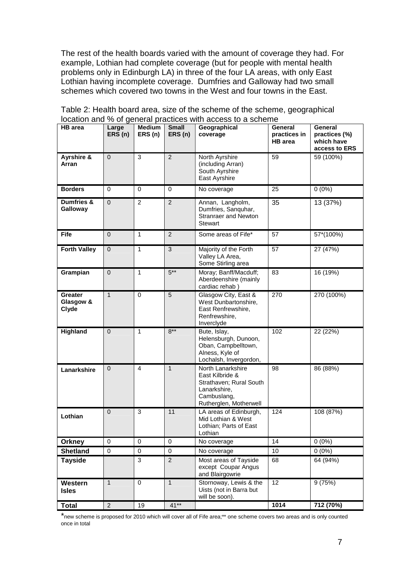The rest of the health boards varied with the amount of coverage they had. For example, Lothian had complete coverage (but for people with mental health problems only in Edinburgh LA) in three of the four LA areas, with only East Lothian having incomplete coverage. Dumfries and Galloway had two small schemes which covered two towns in the West and four towns in the East.

| <b>HB</b> area                       | Large<br>ERS(n) | <b>Medium</b><br>ERS(n) | <b>Small</b><br>ERS(n) | Geographical<br>coverage                                                                                                 | <b>General</b><br>practices in<br><b>HB</b> area | General<br>practices (%)<br>which have<br>access to ERS |
|--------------------------------------|-----------------|-------------------------|------------------------|--------------------------------------------------------------------------------------------------------------------------|--------------------------------------------------|---------------------------------------------------------|
| Ayrshire &<br>Arran                  | $\mathbf 0$     | 3                       | $\overline{2}$         | North Ayrshire<br>(including Arran)<br>South Ayrshire<br>East Ayrshire                                                   | 59                                               | 59 (100%)                                               |
| <b>Borders</b>                       | 0               | 0                       | $\Omega$               | No coverage                                                                                                              | 25                                               | $0(0\%)$                                                |
| Dumfries &<br>Galloway               | $\mathbf 0$     | $\overline{2}$          | $\overline{2}$         | Annan, Langholm,<br>Dumfries, Sanguhar,<br><b>Stranraer and Newton</b><br>Stewart                                        | 35                                               | 13 (37%)                                                |
| <b>Fife</b>                          | $\mathbf 0$     | $\mathbf{1}$            | 2                      | Some areas of Fife*                                                                                                      | 57                                               | 57*(100%)                                               |
| <b>Forth Valley</b>                  | $\mathbf{0}$    | $\mathbf{1}$            | 3                      | Majority of the Forth<br>Valley LA Area,<br>Some Stirling area                                                           | 57                                               | 27 (47%)                                                |
| Grampian                             | $\mathbf 0$     | $\mathbf{1}$            | $5***$                 | Moray; Banff/Macduff;<br>Aberdeenshire (mainly<br>cardiac rehab)                                                         | 83                                               | 16 (19%)                                                |
| <b>Greater</b><br>Glasgow &<br>Clyde | $\mathbf{1}$    | $\Omega$                | 5                      | Glasgow City, East &<br>West Dunbartonshire,<br>East Renfrewshire,<br>Renfrewshire,<br>Inverclyde                        | 270                                              | 270 (100%)                                              |
| Highland                             | $\overline{0}$  | $\mathbf{1}$            | $8***$                 | Bute, Islay,<br>Helensburgh, Dunoon,<br>Oban, Campbelltown,<br>Alness, Kyle of<br>Lochalsh, Invergordon,                 | 102                                              | 22 (22%)                                                |
| Lanarkshire                          | $\mathbf 0$     | 4                       | $\mathbf{1}$           | North Lanarkshire<br>East Kilbride &<br>Strathaven; Rural South<br>Lanarkshire,<br>Cambuslang,<br>Rutherglen, Motherwell | 98                                               | 86 (88%)                                                |
| Lothian                              | $\mathbf{0}$    | 3                       | 11                     | LA areas of Edinburgh,<br>Mid Lothian & West<br>Lothian: Parts of East<br>Lothian                                        | 124                                              | 108 (87%)                                               |
| <b>Orkney</b>                        | $\Omega$        | $\Omega$                | $\mathbf 0$            | No coverage                                                                                                              | 14                                               | $0(0\%)$                                                |
| <b>Shetland</b>                      | $\pmb{0}$       | $\pmb{0}$               | 0                      | No coverage                                                                                                              | 10                                               | $0(0\%)$                                                |
| <b>Tayside</b>                       |                 | 3                       | $\overline{2}$         | Most areas of Tayside<br>except Coupar Angus<br>and Blairgowrie                                                          | 68                                               | 64 (94%)                                                |
| Western<br><b>Isles</b>              | $\mathbf{1}$    | $\pmb{0}$               | $\mathbf{1}$           | Stornoway, Lewis & the<br>Uists (not in Barra but<br>will be soon).                                                      | $\overline{12}$                                  | 9(75%)                                                  |
| <b>Total</b>                         | $\overline{2}$  | 19                      | $41**$                 |                                                                                                                          | 1014                                             | 712 (70%)                                               |

Table 2: Health board area, size of the scheme of the scheme, geographical location and % of general practices with access to a scheme

\*new scheme is proposed for 2010 which will cover all of Fife area;\*\* one scheme covers two areas and is only counted once in total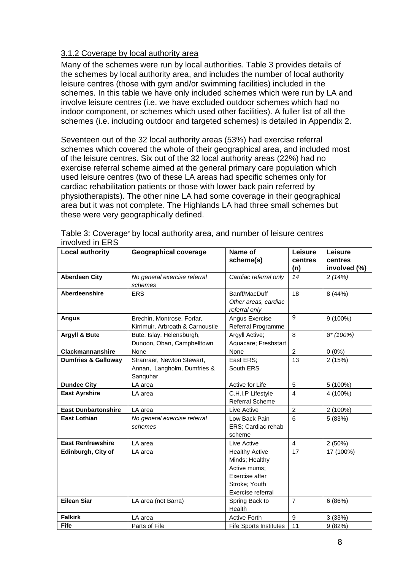#### <span id="page-11-0"></span>3.1.2 Coverage by local authority area

Many of the schemes were run by local authorities. Table 3 provides details of the schemes by local authority area, and includes the number of local authority leisure centres (those with gym and/or swimming facilities) included in the schemes. In this table we have only included schemes which were run by LA and involve leisure centres (i.e. we have excluded outdoor schemes which had no indoor component, or schemes which used other facilities). A fuller list of all the schemes (i.e. including outdoor and targeted schemes) is detailed in Appendix 2.

Seventeen out of the 32 local authority areas (53%) had exercise referral schemes which covered the whole of their geographical area, and included most of the leisure centres. Six out of the 32 local authority areas (22%) had no exercise referral scheme aimed at the general primary care population which used leisure centres (two of these LA areas had specific schemes only for cardiac rehabilitation patients or those with lower back pain referred by physiotherapists). The other nine LA had some coverage in their geographical area but it was not complete. The Highlands LA had three small schemes but these were very geographically defined.

| <b>Local authority</b>         | <b>Geographical coverage</b>                                          | Name of<br>scheme(s)                                                                                            | Leisure<br>centres<br>(n) | Leisure<br>centres<br>involved (%) |
|--------------------------------|-----------------------------------------------------------------------|-----------------------------------------------------------------------------------------------------------------|---------------------------|------------------------------------|
| <b>Aberdeen City</b>           | No general exercise referral<br>schemes                               | Cardiac referral only                                                                                           | 14                        | 2(14%)                             |
| Aberdeenshire                  | <b>ERS</b>                                                            | Banff/MacDuff<br>Other areas, cardiac<br>referral only                                                          | 18                        | 8 (44%)                            |
| <b>Angus</b>                   | Brechin, Montrose, Forfar,<br>Kirrimuir, Arbroath & Carnoustie        | Angus Exercise<br>Referral Programme                                                                            | 9                         | 9 (100%)                           |
| <b>Argyll &amp; Bute</b>       | Bute, Islay, Helensburgh,<br>Dunoon, Oban, Campbelltown               | Argyll Active;<br>Aquacare; Freshstart                                                                          | 8                         | $8*(100%)$                         |
| <b>Clackmannanshire</b>        | None                                                                  | None                                                                                                            | $\overline{2}$            | $0(0\%)$                           |
| <b>Dumfries &amp; Galloway</b> | Stranraer, Newton Stewart,<br>Annan, Langholm, Dumfries &<br>Sanguhar | East ERS;<br>South ERS                                                                                          | 13                        | 2(15%)                             |
| <b>Dundee City</b>             | LA area                                                               | Active for Life                                                                                                 | 5                         | 5 (100%)                           |
| <b>East Ayrshire</b>           | LA area                                                               | C.H.I.P Lifestyle<br><b>Referral Scheme</b>                                                                     | $\overline{4}$            | 4 (100%)                           |
| <b>East Dunbartonshire</b>     | LA area                                                               | Live Active                                                                                                     | $\overline{c}$            | 2 (100%)                           |
| <b>East Lothian</b>            | No general exercise referral<br>schemes                               | Low Back Pain<br>ERS; Cardiac rehab<br>scheme                                                                   | 6                         | 5 (83%)                            |
| <b>East Renfrewshire</b>       | LA area                                                               | Live Active                                                                                                     | $\overline{\mathbf{4}}$   | 2(50%)                             |
| Edinburgh, City of             | LA area                                                               | <b>Healthy Active</b><br>Minds; Healthy<br>Active mums:<br>Exercise after<br>Stroke; Youth<br>Exercise referral | 17                        | 17 (100%)                          |
| <b>Eilean Siar</b>             | LA area (not Barra)                                                   | Spring Back to<br>Health                                                                                        | $\overline{7}$            | 6(86%)                             |
| <b>Falkirk</b>                 | LA area                                                               | <b>Active Forth</b>                                                                                             | $9\,$                     | 3 (33%)                            |
| Fife                           | Parts of Fife                                                         | <b>Fife Sports Institutes</b>                                                                                   | 11                        | 9(82%)                             |

Table 3: Coverage<sup>#</sup> by local authority area, and number of leisure centres involved in ERS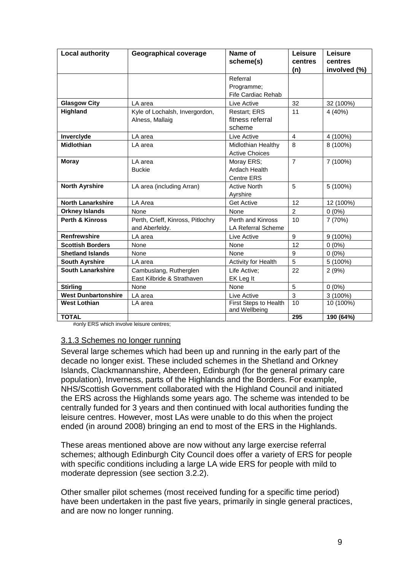| <b>Local authority</b>     | <b>Geographical coverage</b>                         | Name of<br>scheme(s)                           | Leisure<br>centres<br>(n) | Leisure<br>centres<br>involved (%) |
|----------------------------|------------------------------------------------------|------------------------------------------------|---------------------------|------------------------------------|
|                            |                                                      | Referral<br>Programme:<br>Fife Cardiac Rehab   |                           |                                    |
| <b>Glasgow City</b>        | LA area                                              | Live Active                                    | 32                        | 32 (100%)                          |
| Highland                   | Kyle of Lochalsh, Invergordon,<br>Alness, Mallaig    | Restart; ERS<br>fitness referral<br>scheme     | 11                        | 4(40%)                             |
| Inverclyde                 | LA area                                              | Live Active                                    | $\overline{4}$            | 4 (100%)                           |
| <b>Midlothian</b>          | LA area                                              | Midlothian Healthy<br><b>Active Choices</b>    | 8                         | 8 (100%)                           |
| <b>Moray</b>               | LA area<br><b>Buckie</b>                             | Moray ERS;<br>Ardach Health<br>Centre ERS      | $\overline{7}$            | 7 (100%)                           |
| <b>North Ayrshire</b>      | LA area (including Arran)                            | <b>Active North</b><br>Ayrshire                | 5                         | 5 (100%)                           |
| <b>North Lanarkshire</b>   | LA Area                                              | <b>Get Active</b>                              | 12                        | 12 (100%)                          |
| <b>Orkney Islands</b>      | None                                                 | None                                           | 2                         | $0(0\%)$                           |
| <b>Perth &amp; Kinross</b> | Perth, Crieff, Kinross, Pitlochry<br>and Aberfeldy.  | Perth and Kinross<br><b>LA Referral Scheme</b> | 10                        | 7(70%)                             |
| <b>Renfrewshire</b>        | LA area                                              | Live Active                                    | 9                         | 9 (100%)                           |
| <b>Scottish Borders</b>    | None                                                 | None                                           | 12                        | $0(0\%)$                           |
| <b>Shetland Islands</b>    | None                                                 | None                                           | 9                         | $0(0\%)$                           |
| <b>South Ayrshire</b>      | LA area                                              | Activity for Health                            | 5                         | 5 (100%)                           |
| <b>South Lanarkshire</b>   | Cambuslang, Rutherglen<br>East Kilbride & Strathaven | Life Active;<br>EK Leg It                      | 22                        | 2(9%)                              |
| <b>Stirling</b>            | None                                                 | None                                           | 5                         | $0(0\%)$                           |
| <b>West Dunbartonshire</b> | LA area                                              | Live Active                                    | $\mathbf{3}$              | 3 (100%)                           |
| <b>West Lothian</b>        | LA area                                              | First Steps to Health<br>and Wellbeing         | 10                        | 10 (100%)                          |
| <b>TOTAL</b>               |                                                      |                                                | 295                       | 190 (64%)                          |

#only ERS which involve leisure centres;

#### <span id="page-12-0"></span>3.1.3 Schemes no longer running

Several large schemes which had been up and running in the early part of the decade no longer exist. These included schemes in the Shetland and Orkney Islands, Clackmannanshire, Aberdeen, Edinburgh (for the general primary care population), Inverness, parts of the Highlands and the Borders. For example, NHS/Scottish Government collaborated with the Highland Council and initiated the ERS across the Highlands some years ago. The scheme was intended to be centrally funded for 3 years and then continued with local authorities funding the leisure centres. However, most LAs were unable to do this when the project ended (in around 2008) bringing an end to most of the ERS in the Highlands.

These areas mentioned above are now without any large exercise referral schemes; although Edinburgh City Council does offer a variety of ERS for people with specific conditions including a large LA wide ERS for people with mild to moderate depression (see section 3.2.2).

Other smaller pilot schemes (most received funding for a specific time period) have been undertaken in the past five years, primarily in single general practices, and are now no longer running.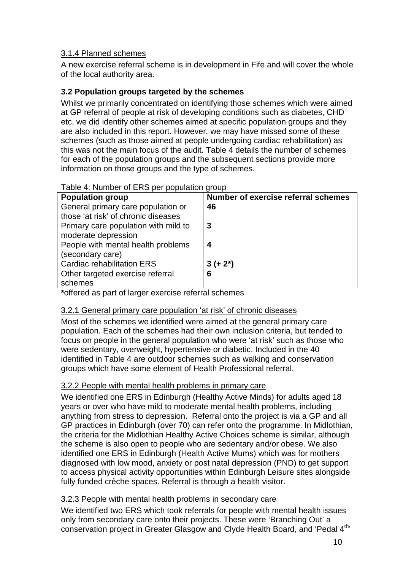## <span id="page-13-0"></span>3.1.4 Planned schemes

A new exercise referral scheme is in development in Fife and will cover the whole of the local authority area.

## <span id="page-13-1"></span>**3.2 Population groups targeted by the schemes**

Whilst we primarily concentrated on identifying those schemes which were aimed at GP referral of people at risk of developing conditions such as diabetes, CHD etc. we did identify other schemes aimed at specific population groups and they are also included in this report. However, we may have missed some of these schemes (such as those aimed at people undergoing cardiac rehabilitation) as this was not the main focus of the audit. Table 4 details the number of schemes for each of the population groups and the subsequent sections provide more information on those groups and the type of schemes.

| Table 4: Number of ERS per population group |  |  |
|---------------------------------------------|--|--|
|                                             |  |  |

| <b>Population group</b>              | Number of exercise referral schemes |
|--------------------------------------|-------------------------------------|
| General primary care population or   | 46                                  |
| those 'at risk' of chronic diseases  |                                     |
| Primary care population with mild to | 3                                   |
| moderate depression                  |                                     |
| People with mental health problems   | 4                                   |
| (secondary care)                     |                                     |
| <b>Cardiac rehabilitation ERS</b>    | $3 (+ 2^*)$                         |
| Other targeted exercise referral     | 6                                   |
| schemes                              |                                     |

**\***offered as part of larger exercise referral schemes

## <span id="page-13-2"></span>3.2.1 General primary care population 'at risk' of chronic diseases

Most of the schemes we identified were aimed at the general primary care population. Each of the schemes had their own inclusion criteria, but tended to focus on people in the general population who were 'at risk' such as those who were sedentary, overweight, hypertensive or diabetic. Included in the 40 identified in Table 4 are outdoor schemes such as walking and conservation groups which have some element of Health Professional referral.

## <span id="page-13-3"></span>3.2.2 People with mental health problems in primary care

We identified one ERS in Edinburgh (Healthy Active Minds) for adults aged 18 years or over who have mild to moderate mental health problems, including anything from stress to depression. Referral onto the project is via a GP and all GP practices in Edinburgh (over 70) can refer onto the programme. In Midlothian, the criteria for the Midlothian Healthy Active Choices scheme is similar, although the scheme is also open to people who are sedentary and/or obese. We also identified one ERS in Edinburgh (Health Active Mums) which was for mothers diagnosed with low mood, anxiety or post natal depression (PND) to get support to access physical activity opportunities within Edinburgh Leisure sites alongside fully funded crèche spaces. Referral is through a health visitor.

## <span id="page-13-4"></span>3.2.3 People with mental health problems in secondary care

We identified two ERS which took referrals for people with mental health issues only from secondary care onto their projects. These were 'Branching Out' a conservation project in Greater Glasgow and Clyde Health Board, and 'Pedal 4<sup>th</sup>'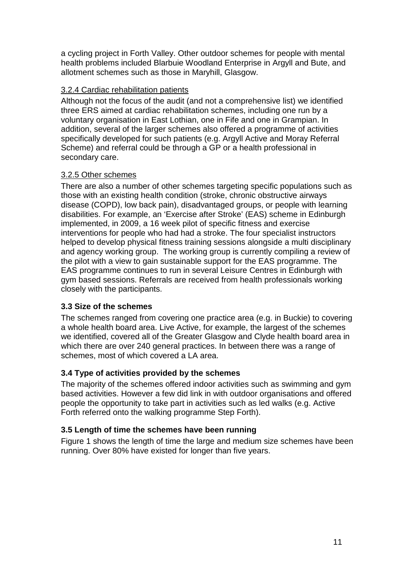a cycling project in Forth Valley. Other outdoor schemes for people with mental health problems included Blarbuie Woodland Enterprise in Argyll and Bute, and allotment schemes such as those in Maryhill, Glasgow.

#### <span id="page-14-0"></span>3.2.4 Cardiac rehabilitation patients

Although not the focus of the audit (and not a comprehensive list) we identified three ERS aimed at cardiac rehabilitation schemes, including one run by a voluntary organisation in East Lothian, one in Fife and one in Grampian. In addition, several of the larger schemes also offered a programme of activities specifically developed for such patients (e.g. Argyll Active and Moray Referral Scheme) and referral could be through a GP or a health professional in secondary care.

## <span id="page-14-1"></span>3.2.5 Other schemes

There are also a number of other schemes targeting specific populations such as those with an existing health condition (stroke, chronic obstructive airways disease (COPD), low back pain), disadvantaged groups, or people with learning disabilities. For example, an 'Exercise after Stroke' (EAS) scheme in Edinburgh implemented, in 2009, a 16 week pilot of specific fitness and exercise interventions for people who had had a stroke. The four specialist instructors helped to develop physical fitness training sessions alongside a multi disciplinary and agency working group. The working group is currently compiling a review of the pilot with a view to gain sustainable support for the EAS programme. The EAS programme continues to run in several Leisure Centres in Edinburgh with gym based sessions. Referrals are received from health professionals working closely with the participants.

## <span id="page-14-2"></span>**3.3 Size of the schemes**

The schemes ranged from covering one practice area (e.g. in Buckie) to covering a whole health board area. Live Active, for example, the largest of the schemes we identified, covered all of the Greater Glasgow and Clyde health board area in which there are over 240 general practices. In between there was a range of schemes, most of which covered a LA area.

## <span id="page-14-3"></span>**3.4 Type of activities provided by the schemes**

The majority of the schemes offered indoor activities such as swimming and gym based activities. However a few did link in with outdoor organisations and offered people the opportunity to take part in activities such as led walks (e.g. Active Forth referred onto the walking programme Step Forth).

## <span id="page-14-4"></span>**3.5 Length of time the schemes have been running**

Figure 1 shows the length of time the large and medium size schemes have been running. Over 80% have existed for longer than five years.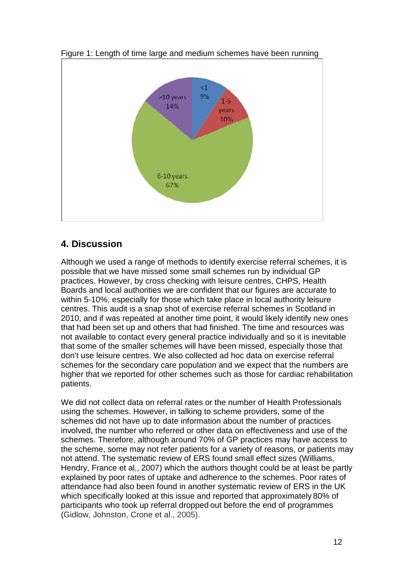

Figure 1: Length of time large and medium schemes have been running

## <span id="page-15-0"></span>**4. Discussion**

Although we used a range of methods to identify exercise referral schemes, it is possible that we have missed some small schemes run by individual GP practices. However, by cross checking with leisure centres, CHPS, Health Boards and local authorities we are confident that our figures are accurate to within 5-10%, especially for those which take place in local authority leisure centres. This audit is a snap shot of exercise referral schemes in Scotland in 2010, and if was repeated at another time point, it would likely identify new ones that had been set up and others that had finished. The time and resources was not available to contact every general practice individually and so it is inevitable that some of the smaller schemes will have been missed, especially those that don't use leisure centres. We also collected ad hoc data on exercise referral schemes for the secondary care population and we expect that the numbers are higher that we reported for other schemes such as those for cardiac rehabilitation patients.

We did not collect data on referral rates or the number of Health Professionals using the schemes. However, in talking to scheme providers, some of the schemes did not have up to date information about the number of practices involved, the number who referred or other data on effectiveness and use of the schemes. Therefore, although around 70% of GP practices may have access to the scheme, some may not refer patients for a variety of reasons, or patients may not attend. The systematic review of ERS found small effect sizes (Williams, Hendry, France et al., 2007) which the authors thought could be at least be partly explained by poor rates of uptake and adherence to the schemes. Poor rates of attendance had also been found in another systematic review of ERS in the UK which specifically looked at this issue and reported that approximately 80% of participants who took up referral dropped out before the end of programmes (Gidlow, Johnston, Crone et al., 2005).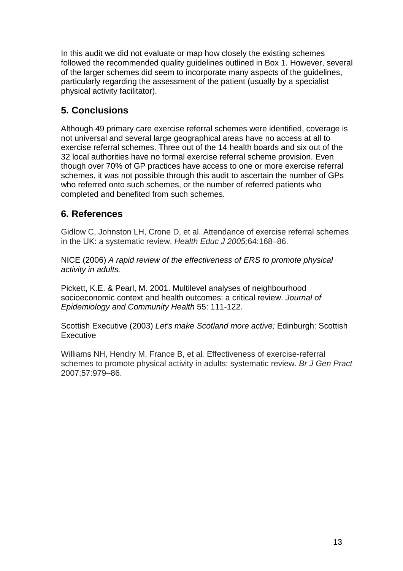In this audit we did not evaluate or map how closely the existing schemes followed the recommended quality guidelines outlined in Box 1. However, several of the larger schemes did seem to incorporate many aspects of the guidelines, particularly regarding the assessment of the patient (usually by a specialist physical activity facilitator).

## <span id="page-16-0"></span>**5. Conclusions**

Although 49 primary care exercise referral schemes were identified, coverage is not universal and several large geographical areas have no access at all to exercise referral schemes. Three out of the 14 health boards and six out of the 32 local authorities have no formal exercise referral scheme provision. Even though over 70% of GP practices have access to one or more exercise referral schemes, it was not possible through this audit to ascertain the number of GPs who referred onto such schemes, or the number of referred patients who completed and benefited from such schemes.

## <span id="page-16-1"></span>**6. References**

Gidlow C, Johnston LH, Crone D, et al. Attendance of exercise referral schemes in the UK: a systematic review. *Health Educ J 2005;*64:168–86.

NICE (2006) *A rapid review of the effectiveness of ERS to promote physical activity in adults.*

Pickett, K.E. & Pearl, M. 2001. Multilevel analyses of neighbourhood socioeconomic context and health outcomes: a critical review. *Journal of Epidemiology and Community Health* 55: 111-122.

Scottish Executive (2003) *Let's make Scotland more active;* Edinburgh: Scottish **Executive** 

Williams NH, Hendry M, France B, et al*.* Effectiveness of exercise-referral schemes to promote physical activity in adults: systematic review. *Br J Gen Pract*  2007;57:979–86.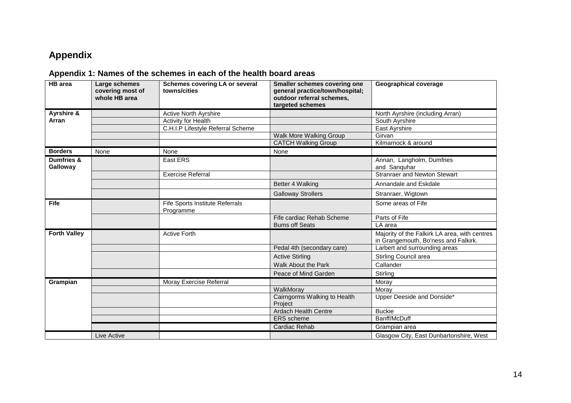# **Appendix**

## **Appendix 1: Names of the schemes in each of the health board areas**

<span id="page-17-1"></span><span id="page-17-0"></span>

| <b>HB</b> area         | Large schemes<br>covering most of<br>whole HB area | <b>Schemes covering LA or several</b><br>towns/cities | Smaller schemes covering one<br>general practice/town/hospital;<br>outdoor referral schemes,<br>targeted schemes | <b>Geographical coverage</b>                                                          |
|------------------------|----------------------------------------------------|-------------------------------------------------------|------------------------------------------------------------------------------------------------------------------|---------------------------------------------------------------------------------------|
| Ayrshire &             |                                                    | Active North Ayrshire                                 |                                                                                                                  | North Ayrshire (including Arran)                                                      |
| Arran                  |                                                    | Activity for Health                                   |                                                                                                                  | South Ayrshire                                                                        |
|                        |                                                    | C.H.I.P Lifestyle Referral Scheme                     |                                                                                                                  | East Ayrshire                                                                         |
|                        |                                                    |                                                       | Walk More Walking Group                                                                                          | Girvan                                                                                |
|                        |                                                    |                                                       | <b>CATCH Walking Group</b>                                                                                       | Kilmarnock & around                                                                   |
| <b>Borders</b>         | None                                               | None                                                  | None                                                                                                             |                                                                                       |
| Dumfries &<br>Galloway |                                                    | East ERS                                              |                                                                                                                  | Annan, Langholm, Dumfries<br>and Sanquhar                                             |
|                        |                                                    | <b>Exercise Referral</b>                              |                                                                                                                  | <b>Stranraer and Newton Stewart</b>                                                   |
|                        |                                                    |                                                       | Better 4 Walking                                                                                                 | Annandale and Eskdale                                                                 |
|                        |                                                    |                                                       | <b>Galloway Strollers</b>                                                                                        | Stranraer, Wigtown                                                                    |
| <b>Fife</b>            |                                                    | Fife Sports Institute Referrals<br>Programme          |                                                                                                                  | Some areas of Fife                                                                    |
|                        |                                                    |                                                       | Fife cardiac Rehab Scheme                                                                                        | Parts of Fife                                                                         |
|                        |                                                    |                                                       | <b>Bums off Seats</b>                                                                                            | LA area                                                                               |
| <b>Forth Valley</b>    |                                                    | <b>Active Forth</b>                                   |                                                                                                                  | Majority of the Falkirk LA area, with centres<br>in Grangemouth, Bo'ness and Falkirk. |
|                        |                                                    |                                                       | Pedal 4th (secondary care)                                                                                       | Larbert and surrounding areas                                                         |
|                        |                                                    |                                                       | <b>Active Stirling</b>                                                                                           | Stirling Council area                                                                 |
|                        |                                                    |                                                       | Walk About the Park                                                                                              | Callander                                                                             |
|                        |                                                    |                                                       | Peace of Mind Garden                                                                                             | Stirling                                                                              |
| Grampian               |                                                    | Moray Exercise Referral                               |                                                                                                                  | Moray                                                                                 |
|                        |                                                    |                                                       | WalkMoray                                                                                                        | Morav                                                                                 |
|                        |                                                    |                                                       | Cairngorms Walking to Health<br>Project                                                                          | Upper Deeside and Donside*                                                            |
|                        |                                                    |                                                       | <b>Ardach Health Centre</b>                                                                                      | <b>Buckie</b>                                                                         |
|                        |                                                    |                                                       | <b>ERS</b> scheme                                                                                                | Banff/McDuff                                                                          |
|                        |                                                    |                                                       | Cardiac Rehab                                                                                                    | Grampian area                                                                         |
|                        | Live Active                                        |                                                       |                                                                                                                  | Glasgow City, East Dunbartonshire, West                                               |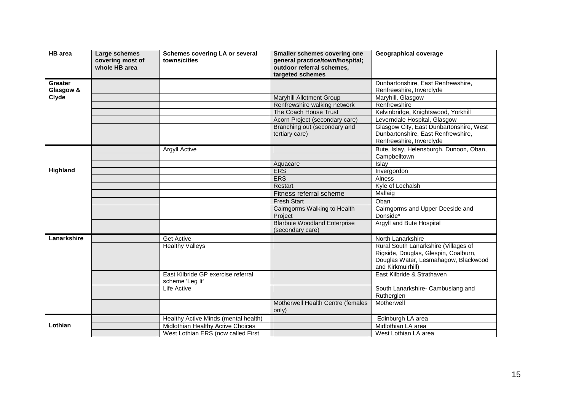| <b>HB</b> area | Large schemes<br>covering most of<br>whole HB area | <b>Schemes covering LA or several</b><br>towns/cities | <b>Smaller schemes covering one</b><br>general practice/town/hospital;<br>outdoor referral schemes,<br>targeted schemes | <b>Geographical coverage</b>                                                                                                              |
|----------------|----------------------------------------------------|-------------------------------------------------------|-------------------------------------------------------------------------------------------------------------------------|-------------------------------------------------------------------------------------------------------------------------------------------|
| <b>Greater</b> |                                                    |                                                       |                                                                                                                         | Dunbartonshire, East Renfrewshire,                                                                                                        |
| Glasgow &      |                                                    |                                                       |                                                                                                                         | Renfrewshire, Inverclyde                                                                                                                  |
| Clyde          |                                                    |                                                       | <b>Maryhill Allotment Group</b>                                                                                         | Maryhill, Glasgow                                                                                                                         |
|                |                                                    |                                                       | Renfrewshire walking network                                                                                            | Renfrewshire                                                                                                                              |
|                |                                                    |                                                       | The Coach House Trust                                                                                                   | Kelvinbridge, Knightswood, Yorkhill                                                                                                       |
|                |                                                    |                                                       | Acorn Project (secondary care)                                                                                          | Leverndale Hospital, Glasgow                                                                                                              |
|                |                                                    |                                                       | Branching out (secondary and<br>tertiary care)                                                                          | Glasgow City, East Dunbartonshire, West<br>Dunbartonshire, East Renfrewshire,<br>Renfrewshire, Inverclyde                                 |
|                |                                                    | Argyll Active                                         |                                                                                                                         | Bute, Islay, Helensburgh, Dunoon, Oban,<br>Campbelltown                                                                                   |
|                |                                                    |                                                       | Aquacare                                                                                                                | Islay                                                                                                                                     |
| Highland       |                                                    |                                                       | <b>ERS</b>                                                                                                              | Invergordon                                                                                                                               |
|                |                                                    |                                                       | <b>ERS</b>                                                                                                              | Alness                                                                                                                                    |
|                |                                                    |                                                       | Restart                                                                                                                 | Kyle of Lochalsh                                                                                                                          |
|                |                                                    |                                                       | Fitness referral scheme                                                                                                 | Mallaig                                                                                                                                   |
|                |                                                    |                                                       | <b>Fresh Start</b>                                                                                                      | Oban                                                                                                                                      |
|                |                                                    |                                                       | Cairngorms Walking to Health<br>Project                                                                                 | Cairngorms and Upper Deeside and<br>Donside*                                                                                              |
|                |                                                    |                                                       | <b>Blarbuie Woodland Enterprise</b><br>(secondary care)                                                                 | Argyll and Bute Hospital                                                                                                                  |
| Lanarkshire    |                                                    | <b>Get Active</b>                                     |                                                                                                                         | North Lanarkshire                                                                                                                         |
|                |                                                    | <b>Healthy Valleys</b>                                |                                                                                                                         | Rural South Lanarkshire (Villages of<br>Rigside, Douglas, Glespin, Coalburn,<br>Douglas Water, Lesmahagow, Blackwood<br>and Kirkmuirhill) |
|                |                                                    | East Kilbride GP exercise referral<br>scheme 'Leg It' |                                                                                                                         | East Kilbride & Strathaven                                                                                                                |
|                |                                                    | Life Active                                           |                                                                                                                         | South Lanarkshire- Cambuslang and<br>Rutherglen                                                                                           |
|                |                                                    |                                                       | Motherwell Health Centre (females<br>only)                                                                              | Motherwell                                                                                                                                |
|                |                                                    | Healthy Active Minds (mental health)                  |                                                                                                                         | Edinburgh LA area                                                                                                                         |
| Lothian        |                                                    | Midlothian Healthy Active Choices                     |                                                                                                                         | Midlothian LA area                                                                                                                        |
|                |                                                    | West Lothian ERS (now called First                    |                                                                                                                         | West Lothian LA area                                                                                                                      |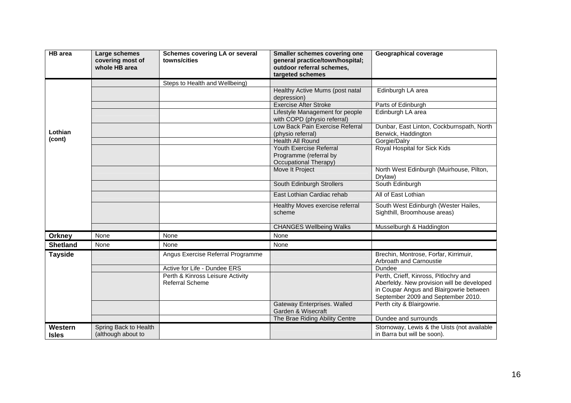| <b>HB</b> area          | Large schemes<br>covering most of<br>whole HB area | <b>Schemes covering LA or several</b><br>towns/cities      | <b>Smaller schemes covering one</b><br>general practice/town/hospital;<br>outdoor referral schemes,<br>targeted schemes | <b>Geographical coverage</b>                                                                                                                                         |
|-------------------------|----------------------------------------------------|------------------------------------------------------------|-------------------------------------------------------------------------------------------------------------------------|----------------------------------------------------------------------------------------------------------------------------------------------------------------------|
|                         |                                                    | Steps to Health and Wellbeing)                             |                                                                                                                         |                                                                                                                                                                      |
|                         |                                                    |                                                            | Healthy Active Mums (post natal<br>depression)                                                                          | Edinburgh LA area                                                                                                                                                    |
|                         |                                                    |                                                            | <b>Exercise After Stroke</b>                                                                                            | Parts of Edinburgh                                                                                                                                                   |
|                         |                                                    |                                                            | Lifestyle Management for people<br>with COPD (physio referral)                                                          | Edinburgh LA area                                                                                                                                                    |
| Lothian                 |                                                    |                                                            | Low Back Pain Exercise Referral<br>(physio referral)                                                                    | Dunbar, East Linton, Cockburnspath, North<br>Berwick, Haddington                                                                                                     |
| (cont)                  |                                                    |                                                            | <b>Health All Round</b>                                                                                                 | Gorgie/Dalry                                                                                                                                                         |
|                         |                                                    |                                                            | <b>Youth Exercise Referral</b><br>Programme (referral by<br>Occupational Therapy)                                       | Royal Hospital for Sick Kids                                                                                                                                         |
|                         |                                                    |                                                            | Move It Project                                                                                                         | North West Edinburgh (Muirhouse, Pilton,<br>Drylaw)                                                                                                                  |
|                         |                                                    |                                                            | South Edinburgh Strollers                                                                                               | South Edinburgh                                                                                                                                                      |
|                         |                                                    |                                                            | East Lothian Cardiac rehab                                                                                              | All of East Lothian                                                                                                                                                  |
|                         |                                                    |                                                            | Healthy Moves exercise referral<br>scheme                                                                               | South West Edinburgh (Wester Hailes,<br>Sighthill, Broomhouse areas)                                                                                                 |
|                         |                                                    |                                                            | <b>CHANGES Wellbeing Walks</b>                                                                                          | Musselburgh & Haddington                                                                                                                                             |
| <b>Orkney</b>           | None                                               | None                                                       | None                                                                                                                    |                                                                                                                                                                      |
| <b>Shetland</b>         | None                                               | None                                                       | None                                                                                                                    |                                                                                                                                                                      |
| <b>Tayside</b>          |                                                    | Angus Exercise Referral Programme                          |                                                                                                                         | Brechin, Montrose, Forfar, Kirrimuir,<br>Arbroath and Carnoustie                                                                                                     |
|                         |                                                    | Active for Life - Dundee ERS                               |                                                                                                                         | Dundee                                                                                                                                                               |
|                         |                                                    | Perth & Kinross Leisure Activity<br><b>Referral Scheme</b> |                                                                                                                         | Perth, Crieff, Kinross, Pitlochry and<br>Aberfeldy. New provision will be developed<br>in Coupar Angus and Blairgowrie between<br>September 2009 and September 2010. |
|                         |                                                    |                                                            | Gateway Enterprises. Walled<br>Garden & Wisecraft                                                                       | Perth city & Blairgowrie.                                                                                                                                            |
|                         |                                                    |                                                            | The Brae Riding Ability Centre                                                                                          | Dundee and surrounds                                                                                                                                                 |
| Western<br><b>Isles</b> | Spring Back to Health<br>(although about to        |                                                            |                                                                                                                         | Stornoway, Lewis & the Uists (not available<br>in Barra but will be soon).                                                                                           |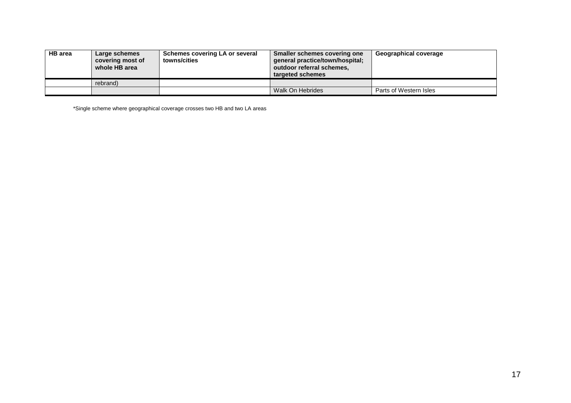| <b>HB</b> area | Large schemes<br>covering most of<br>whole HB area | Schemes covering LA or several<br>towns/cities | Smaller schemes covering one<br>qeneral practice/town/hospital;<br>outdoor referral schemes,<br>targeted schemes | Geographical coverage  |
|----------------|----------------------------------------------------|------------------------------------------------|------------------------------------------------------------------------------------------------------------------|------------------------|
|                | rebrand)                                           |                                                |                                                                                                                  |                        |
|                |                                                    |                                                | Walk On Hebrides                                                                                                 | Parts of Western Isles |

\*Single scheme where geographical coverage crosses two HB and two LA areas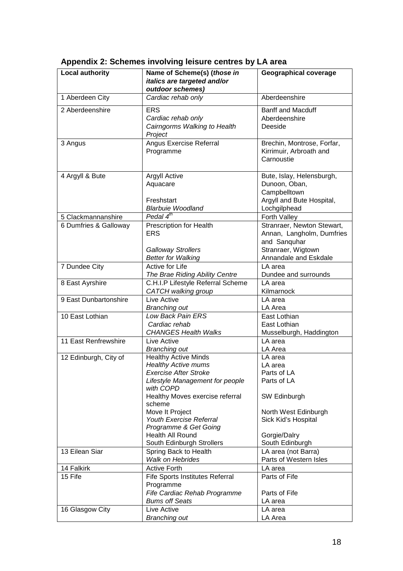| <b>Local authority</b> | Name of Scheme(s) (those in<br>italics are targeted and/or<br>outdoor schemes)                                                                                                                                                                                                                                        | <b>Geographical coverage</b>                                                                                                                       |
|------------------------|-----------------------------------------------------------------------------------------------------------------------------------------------------------------------------------------------------------------------------------------------------------------------------------------------------------------------|----------------------------------------------------------------------------------------------------------------------------------------------------|
| 1 Aberdeen City        | Cardiac rehab only                                                                                                                                                                                                                                                                                                    | Aberdeenshire                                                                                                                                      |
| 2 Aberdeenshire        | <b>ERS</b><br>Cardiac rehab only<br>Cairngorms Walking to Health<br>Project                                                                                                                                                                                                                                           | <b>Banff and Macduff</b><br>Aberdeenshire<br>Deeside                                                                                               |
| 3 Angus                | Angus Exercise Referral<br>Programme                                                                                                                                                                                                                                                                                  | Brechin, Montrose, Forfar,<br>Kirrimuir, Arbroath and<br>Carnoustie                                                                                |
| 4 Argyll & Bute        | Argyll Active<br>Aquacare<br>Freshstart<br><b>Blarbuie Woodland</b>                                                                                                                                                                                                                                                   | Bute, Islay, Helensburgh,<br>Dunoon, Oban,<br>Campbelltown<br>Argyll and Bute Hospital,<br>Lochgilphead                                            |
| 5 Clackmannanshire     | Pedal $4^{th}$                                                                                                                                                                                                                                                                                                        | Forth Valley                                                                                                                                       |
| 6 Dumfries & Galloway  | <b>Prescription for Health</b><br><b>ERS</b><br><b>Galloway Strollers</b>                                                                                                                                                                                                                                             | Stranraer, Newton Stewart,<br>Annan, Langholm, Dumfries<br>and Sanquhar<br>Stranraer, Wigtown                                                      |
|                        | <b>Better for Walking</b>                                                                                                                                                                                                                                                                                             | Annandale and Eskdale                                                                                                                              |
| 7 Dundee City          | Active for Life<br>The Brae Riding Ability Centre                                                                                                                                                                                                                                                                     | LA area<br>Dundee and surrounds                                                                                                                    |
| 8 East Ayrshire        | C.H.I.P Lifestyle Referral Scheme<br>CATCH walking group                                                                                                                                                                                                                                                              | LA area<br>Kilmarnock                                                                                                                              |
| 9 East Dunbartonshire  | Live Active<br><b>Branching out</b>                                                                                                                                                                                                                                                                                   | LA area<br>LA Area                                                                                                                                 |
| 10 East Lothian        | Low Back Pain ERS<br>Cardiac rehab<br><b>CHANGES Health Walks</b>                                                                                                                                                                                                                                                     | East Lothian<br>East Lothian<br>Musselburgh, Haddington                                                                                            |
| 11 East Renfrewshire   | Live Active<br><b>Branching out</b>                                                                                                                                                                                                                                                                                   | LA area<br>LA Area                                                                                                                                 |
| 12 Edinburgh, City of  | <b>Healthy Active Minds</b><br><b>Healthy Active mums</b><br><b>Exercise After Stroke</b><br>Lifestyle Management for people<br>with COPD<br>Healthy Moves exercise referral<br>scheme<br>Move It Project<br>Youth Exercise Referral<br>Programme & Get Going<br><b>Health All Round</b><br>South Edinburgh Strollers | LA area<br>LA area<br>Parts of LA<br>Parts of LA<br>SW Edinburgh<br>North West Edinburgh<br>Sick Kid's Hospital<br>Gorgie/Dalry<br>South Edinburgh |
| 13 Eilean Siar         | Spring Back to Health<br><b>Walk on Hebrides</b>                                                                                                                                                                                                                                                                      | LA area (not Barra)<br>Parts of Western Isles                                                                                                      |
| 14 Falkirk             | <b>Active Forth</b>                                                                                                                                                                                                                                                                                                   | LA area                                                                                                                                            |
| 15 Fife                | Fife Sports Institutes Referral<br>Programme<br>Fife Cardiac Rehab Programme                                                                                                                                                                                                                                          | Parts of Fife<br>Parts of Fife                                                                                                                     |
|                        | <b>Bums off Seats</b>                                                                                                                                                                                                                                                                                                 | LA area                                                                                                                                            |
| 16 Glasgow City        | Live Active<br><b>Branching out</b>                                                                                                                                                                                                                                                                                   | LA area<br>LA Area                                                                                                                                 |

## <span id="page-21-0"></span>**Appendix 2: Schemes involving leisure centres by LA area**